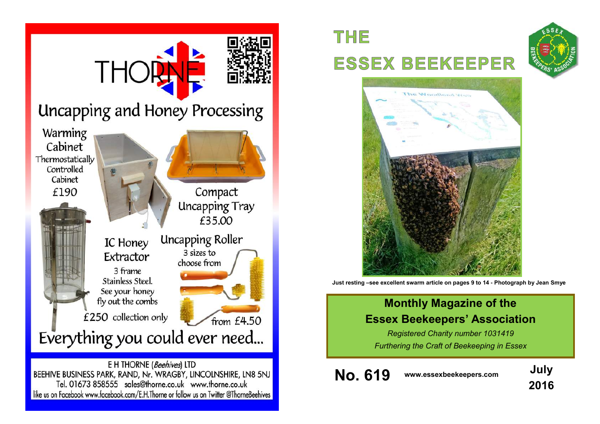

# **THE ESSEX BEEKEEPER**





**Just resting –see excellent swarm article on pages 9 to 14 - Photograph by Jean Smye**

### **Monthly Magazine of the Essex Beekeepers' Association**

*Registered Charity number 1031419 Furthering the Craft of Beekeeping in Essex*

**No. 619 www.essexbeekeepers.com July**

**2016**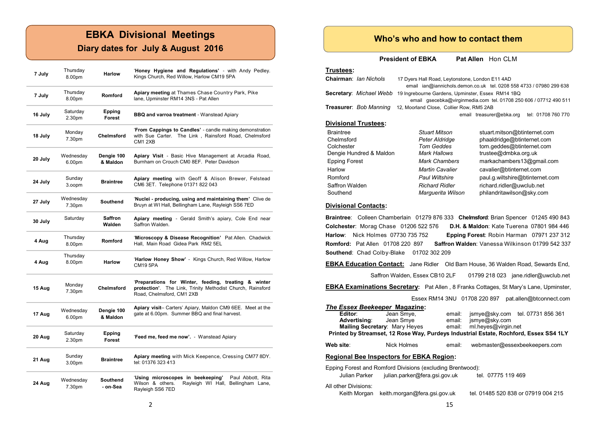### **EBKA Divisional Meetings**

### **Diary dates for July & August 2016**

| 7 July  | Thursday<br>8.00pm  | <b>Harlow</b>          | 'Honey Hygiene and Regulations' - with Andy Pedley.<br>Kings Church, Red Willow, Harlow CM19 5PA                                                     |  |  |
|---------|---------------------|------------------------|------------------------------------------------------------------------------------------------------------------------------------------------------|--|--|
| 7 July  | Thursday<br>8.00pm  | Romford                | Apiary meeting at Thames Chase Country Park, Pike<br>lane, Upminster RM14 3NS - Pat Allen                                                            |  |  |
| 16 July | Saturday<br>2.30pm  | Epping<br>Forest       | <b>BBQ and varroa treatment - Wanstead Apiary</b>                                                                                                    |  |  |
| 18 July | Monday<br>7.30pm    | Chelmsford             | 'From Cappings to Candles' - candle making demonstration<br>with Sue Carter. The Link, Rainsford Road, Chelmsford<br>CM <sub>1</sub> 2X <sub>B</sub> |  |  |
| 20 July | Wednesday<br>6.00pm | Dengie 100<br>& Maldon | Apiary Visit - Basic Hive Management at Arcadia Road,<br>Burnham on Crouch CM0 8EF. Peter Davidson                                                   |  |  |
| 24 July | Sunday<br>3.oopm    | <b>Braintree</b>       | Apiary meeting with Geoff & Alison Brewer, Felstead<br>CM6 3ET. Telephone 01371 822 043                                                              |  |  |
| 27 July | Wednesday<br>7.30pm | <b>Southend</b>        | 'Nuclei - producing, using and maintaining them' Clive de<br>Bruyn at WI Hall, Bellingham Lane, Rayleigh SS6 7ED                                     |  |  |
| 30 July | Saturday            | Saffron<br>Walden      | Apiary meeting - Gerald Smith's apiary, Cole End near<br>Saffron Walden.                                                                             |  |  |
| 4 Aug   | Thursday<br>8.00pm  | Romford                | 'Microscopy & Disease Recognition' Pat Allen. Chadwick<br>Hall, Main Road Gidea Park RM2 5EL                                                         |  |  |
| 4 Aug   | Thursday<br>8.00pm  | <b>Harlow</b>          | 'Harlow Honey Show' - Kings Church, Red Willow, Harlow<br><b>CM195PA</b>                                                                             |  |  |
| 15 Aug  | Monday<br>7.30pm    | <b>Chelmsford</b>      | 'Preparations for Winter, feeding, treating & winter<br>protection'. The Link, Trinity Methodist Church, Rainsford<br>Road, Chelmsford, CM1 2XB      |  |  |
| 17 Aug  | Wednesday<br>6.00pm | Dengie 100<br>& Maldon | Apiary visit- Carters' Apiary, Maldon CM9 6EE. Meet at the<br>gate at 6.00pm. Summer BBQ and final harvest.                                          |  |  |
| 20 Aug  | Saturday<br>2.30pm  | Epping<br>Forest       | 'Feed me, feed me now'. - Wanstead Apiary                                                                                                            |  |  |
| 21 Aug  | Sunday<br>3.00pm    | <b>Braintree</b>       | Apiary meeting with Mick Keepence, Cressing CM77 8DY.<br>tel: 01376 323 413                                                                          |  |  |
| 24 Aug  | Wednesday<br>7.30pm | Southend<br>- on-Sea   | 'Using microscopes in beekeeping'<br>Paul Abbott, Rita<br>Wilson & others.<br>Rayleigh WI Hall, Bellingham Lane,<br>Rayleigh SS6 7ED                 |  |  |

#### **Who's who and how to contact them**

**President of EBKA** Pat Allen Hon CLM

#### **Trustees:**

| Chairman: Ian Nichols       | 17 Dyers Hall Road, Leytonstone, London E11 4AD<br>email ian@iannichols.demon.co.uk tel. 0208 558 4733 / 07980 299 638 |                                                |  |  |  |  |  |
|-----------------------------|------------------------------------------------------------------------------------------------------------------------|------------------------------------------------|--|--|--|--|--|
| Secretary: Michael Webb     | 19 Ingrebourne Gardens, Upminster, Essex RM14 1BQ<br>email gsecebka@virginmedia.com tel. 01708 250 606 / 07712 490 511 |                                                |  |  |  |  |  |
| Treasurer: Bob Manning      | 12, Moorland Close, Collier Row, RM5 2AB                                                                               |                                                |  |  |  |  |  |
|                             |                                                                                                                        | tel: 01708 760 770<br>email treasurer@ebka.org |  |  |  |  |  |
| <b>Divisional Trustees:</b> |                                                                                                                        |                                                |  |  |  |  |  |
| <b>Braintree</b>            | <b>Stuart Mitson</b>                                                                                                   | stuart.mitson@btinternet.com                   |  |  |  |  |  |
| Chelmsford                  | Peter Aldridge                                                                                                         | phaaldridge@btinternet.com                     |  |  |  |  |  |
| Colchester                  | <b>Tom Geddes</b>                                                                                                      | tom.geddes@btinternet.com                      |  |  |  |  |  |
| Dengie Hundred & Maldon     | Mark Hallows                                                                                                           | trustee@dmbka.org.uk                           |  |  |  |  |  |
| <b>Epping Forest</b>        | <b>Mark Chambers</b>                                                                                                   | markachambers13@gmail.com                      |  |  |  |  |  |
| Harlow                      | <b>Martin Cavalier</b>                                                                                                 | cavalier@btinternet.com                        |  |  |  |  |  |
| Romford                     | <b>Paul Wiltshire</b>                                                                                                  | paul.g.wiltshire@btinternet.com                |  |  |  |  |  |

#### **Divisional Contacts:**

**Braintree**: Colleen Chamberlain 01279 876 333 **Chelmsford**: Brian Spencer 01245 490 843 **Colchester**: Morag Chase 01206 522 576 **D.H. & Maldon**: Kate Tuerena 07801 984 446 **Harlow**: Nick Holmes 07730 735 752 **Epping Forest**: Robin Harman 07971 237 312 **Romford:** Pat Allen 01708 220 897 **Saffron Walden**: Vanessa Wilkinson 01799 542 337 **Southend**: Chad Colby-Blake 01702 302 209

Saffron Walden *Richard Ridler* richard.ridler@uwclub.net<br>Southend **Marquerita Wilson** bhilandritawilson@skv.com

**EBKA Education Contact:** Jane Ridler Old Barn House, 36 Walden Road, Sewards End,

Saffron Walden, Essex CB10 2LF 01799 218 023 jane.ridler@uwclub.net

Marguerita Wilson philandritawilson@sky.com

**EBKA Examinations Secretary:** Pat Allen , 8 Franks Cottages, St Mary's Lane, Upminster,

Essex RM14 3NU 01708 220 897 pat.allen@btconnect.com

| The Essex Beekeeper Magazine:                                                         |                                             |        |                     |                                     |  |  |  |  |
|---------------------------------------------------------------------------------------|---------------------------------------------|--------|---------------------|-------------------------------------|--|--|--|--|
| Editor: <b>Access</b>                                                                 | Jean Smye,                                  | email: |                     | jsmye@sky.com tel. 07731 856 361    |  |  |  |  |
| <b>Advertising:</b>                                                                   | Jean Smye                                   | email: | jsmye@sky.com       |                                     |  |  |  |  |
|                                                                                       | <b>Mailing Secretary:</b> Mary Heyes email: |        | ml.heyes@virgin.net |                                     |  |  |  |  |
| Printed by Streamset, 12 Rose Way, Purdeys Industrial Estate, Rochford, Essex SS4 1LY |                                             |        |                     |                                     |  |  |  |  |
| Web site:                                                                             | Nick Holmes                                 | email: |                     | webmaster@essexbeekeepers.com       |  |  |  |  |
| <b>Regional Bee Inspectors for EBKA Region:</b>                                       |                                             |        |                     |                                     |  |  |  |  |
| Epping Forest and Romford Divisions (excluding Brentwood):                            |                                             |        |                     |                                     |  |  |  |  |
| Julian Parker                                                                         | julian.parker@fera.gsi.gov.uk               |        | tel. 07775 119 469  |                                     |  |  |  |  |
| All other Divisions:<br>Keith Morgan                                                  | keith.morgan@fera.gsi.gov.uk                |        |                     | tel. 01485 520 838 or 07919 004 215 |  |  |  |  |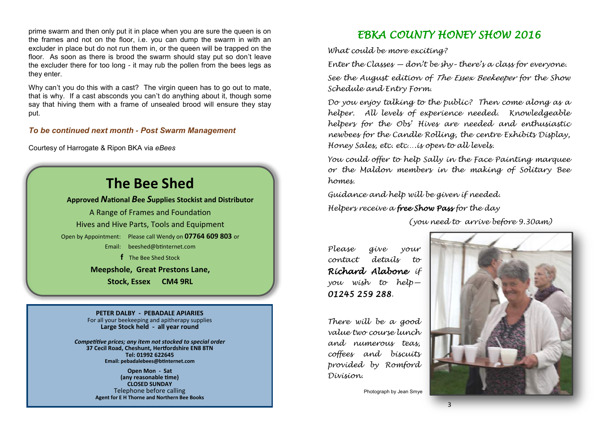prime swarm and then only put it in place when you are sure the queen is on the frames and not on the floor, i.e. you can dump the swarm in with an excluder in place but do not run them in, or the queen will be trapped on the floor. As soon as there is brood the swarm should stay put so don't leave the excluder there for too long - it may rub the pollen from the bees legs as they enter.

Why can't you do this with a cast? The virgin queen has to go out to mate, that is why. If a cast absconds you can't do anything about it, though some say that hiving them with a frame of unsealed brood will ensure they stay put.

#### *To be continued next month* **-** *Post Swarm Management*

Courtesy of Harrogate & Ripon BKA via *eBees*

## **The Bee Shed**

**Approved** *N***ational** *B***ee** *S***upplies Stockist and Distributor**

A Range of Frames and Foundation Hives and Hive Parts, Tools and Equipment Open by Appointment: Please call Wendy on **07764 609 803** or Email: [beeshed@btinternet.com](mailto:beeshed@btinternet.com)  **f** The Bee Shed Stock

> **Meepshole, Great Prestons Lane, Stock, Essex CM4 9RL**

**PETER DALBY - PEBADALE APIARIES** For all your beekeeping and apitherapy supplies **Large Stock held - all year round**

*Competitive prices; any item not stocked to special order* **37 Cecil Road, Cheshunt, Hertfordshire EN8 8TN Tel: 01992 622645 Email: pebadalebees@btinternet.com**

> **Open Mon - Sat (any reasonable time) CLOSED SUNDAY** Telephone before calling **Agent for E H Thorne and Northern Bee Books**

> > 14

### *EBKA COUNTY HONEY SHOW 2016*

*What could be more exciting?*

*Enter the Classes — don't be shy– there's a class for everyone.*

*See the August edition of The Essex Beekeeper for the Show Schedule and Entry Form.*

*Do you enjoy talking to the public? Then come along as a helper. All levels of experience needed. Knowledgeable helpers for the Obs' Hives are needed and enthusiastic newbees for the Candle Rolling, the centre Exhibits Display, Honey Sales, etc. etc….is open to all levels.*

*You could offer to help Sally in the Face Painting marquee or the Maldon members in the making of Solitary Bee homes.*

*Guidance and help will be given if needed.*

*Helpers receive a free Show Pass for the day* 

*(you need to arrive before 9.30am)*

*Please give your contact details to Richard Alabone if you wish to help— 01245 259 288.*

*There will be a good value two course lunch and numerous teas, coffees and biscuits provided by Romford Division.*

Photograph by Jean Smye

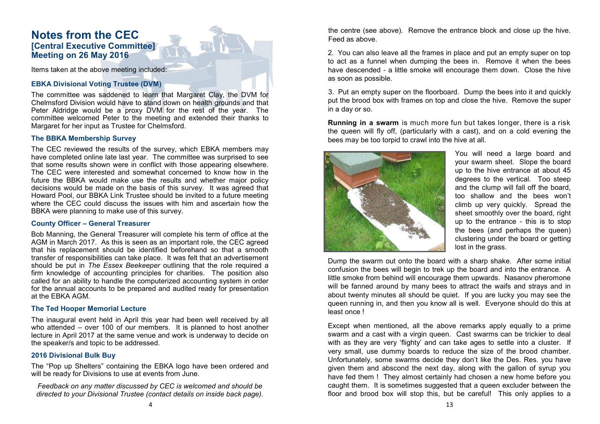### **Notes from the CEC [Central Executive Committee] Meeting on 26 May 2016**

Items taken at the above meeting included:

#### **EBKA Divisional Voting Trustee (DVM)**

The committee was saddened to learn that Margaret Clay, the DVM for Chelmsford Division would have to stand down on health grounds and that Peter Aldridge would be a proxy DVM for the rest of the year. The committee welcomed Peter to the meeting and extended their thanks to Margaret for her input as Trustee for Chelmsford.

#### **The BBKA Membership Survey**

The CEC reviewed the results of the survey, which EBKA members may have completed online late last year. The committee was surprised to see that some results shown were in conflict with those appearing elsewhere. The CEC were interested and somewhat concerned to know how in the future the BBKA would make use the results and whether major policy decisions would be made on the basis of this survey. It was agreed that Howard Pool, our BBKA Link Trustee should be invited to a future meeting where the CEC could discuss the issues with him and ascertain how the BBKA were planning to make use of this survey.

#### **County Officer – General Treasurer**

Bob Manning, the General Treasurer will complete his term of office at the AGM in March 2017. As this is seen as an important role, the CEC agreed that his replacement should be identified beforehand so that a smooth transfer of responsibilities can take place. It was felt that an advertisement should be put in *The Essex Beekeeper* outlining that the role required a firm knowledge of accounting principles for charities. The position also called for an ability to handle the computerized accounting system in order for the annual accounts to be prepared and audited ready for presentation at the EBKA AGM.

#### **The Ted Hooper Memorial Lecture**

The inaugural event held in April this year had been well received by all who attended – over 100 of our members. It is planned to host another lecture in April 2017 at the same venue and work is underway to decide on the speaker/s and topic to be addressed.

#### **2016 Divisional Bulk Buy**

The "Pop up Shelters" containing the EBKA logo have been ordered and will be ready for Divisions to use at events from June.

*Feedback on any matter discussed by CEC is welcomed and should be directed to your Divisional Trustee (contact details on inside back page).* the centre (see above). Remove the entrance block and close up the hive. Feed as above.

2. You can also leave all the frames in place and put an empty super on top to act as a funnel when dumping the bees in. Remove it when the bees have descended - a little smoke will encourage them down. Close the hive as soon as possible.

3. Put an empty super on the floorboard. Dump the bees into it and quickly put the brood box with frames on top and close the hive. Remove the super in a day or so.

**Running in a swarm** is much more fun but takes longer, there is a risk the queen will fly off, (particularly with a cast), and on a cold evening the bees may be too torpid to crawl into the hive at all.



You will need a large board and your swarm sheet. Slope the board up to the hive entrance at about 45 degrees to the vertical. Too steep and the clump will fall off the board, too shallow and the bees won't climb up very quickly. Spread the sheet smoothly over the board, right up to the entrance - this is to stop the bees (and perhaps the queen) clustering under the board or getting lost in the grass.

Dump the swarm out onto the board with a sharp shake. After some initial confusion the bees will begin to trek up the board and into the entrance. A little smoke from behind will encourage them upwards. Nasanov pheromone will be fanned around by many bees to attract the waifs and strays and in about twenty minutes all should be quiet. If you are lucky you may see the queen running in, and then you know all is well. Everyone should do this at least once !

Except when mentioned, all the above remarks apply equally to a prime swarm and a cast with a virgin queen. Cast swarms can be trickier to deal with as they are very 'flighty' and can take ages to settle into a cluster. If very small, use dummy boards to reduce the size of the brood chamber. Unfortunately, some swarms decide they don't like the Des. Res. you have given them and abscond the next day, along with the gallon of syrup you have fed them ! They almost certainly had chosen a new home before you caught them. It is sometimes suggested that a queen excluder between the floor and brood box will stop this, but be careful! This only applies to a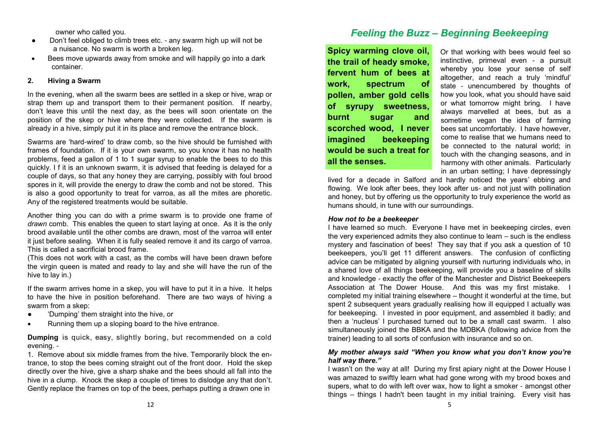owner who called you.

- Don't feel obliged to climb trees etc. any swarm high up will not be a nuisance. No swarm is worth a broken leg.
- Bees move upwards away from smoke and will happily go into a dark container.

#### **2. Hiving a Swarm**

In the evening, when all the swarm bees are settled in a skep or hive, wrap or strap them up and transport them to their permanent position. If nearby, don't leave this until the next day, as the bees will soon orientate on the position of the skep or hive where they were collected. If the swarm is already in a hive, simply put it in its place and remove the entrance block.

Swarms are 'hard-wired' to draw comb, so the hive should be furnished with frames of foundation. If it is your own swarm, so you know it has no health problems, feed a gallon of 1 to 1 sugar syrup to enable the bees to do this quickly. I f it is an unknown swarm, it is advised that feeding is delayed for a couple of days, so that any honey they are carrying, possibly with foul brood spores in it, will provide the energy to draw the comb and not be stored. This is also a good opportunity to treat for varroa, as all the mites are phoretic. Any of the registered treatments would be suitable.

Another thing you can do with a prime swarm is to provide one frame of *drawn* comb. This enables the queen to start laying at once. As it is the only brood available until the other combs are drawn, most of the varroa will enter it just before sealing. When it is fully sealed remove it and its cargo of varroa. This is called a sacrificial brood frame.

(This does not work with a cast, as the combs will have been drawn before the virgin queen is mated and ready to lay and she will have the run of the hive to lay in.)

If the swarm arrives home in a skep, you will have to put it in a hive. It helps to have the hive in position beforehand. There are two ways of hiving a swarm from a skep:

- 'Dumping' them straight into the hive, or
- Running them up a sloping board to the hive entrance.

**Dumping** is quick, easy, slightly boring, but recommended on a cold evening. -

1. Remove about six middle frames from the hive. Temporarily block the entrance, to stop the bees coming straight out of the front door. Hold the skep directly over the hive, give a sharp shake and the bees should all fall into the hive in a clump. Knock the skep a couple of times to dislodge any that don't. Gently replace the frames on top of the bees, perhaps putting a drawn one in

### *Feeling the Buzz – Beginning Beekeeping*

**Spicy warming clove oil, the trail of heady smoke, fervent hum of bees at work, spectrum of pollen, amber gold cells of syrupy sweetness, burnt sugar and scorched wood, I never imagined beekeeping would be such a treat for all the senses.**

Or that working with bees would feel so instinctive, primeval even - a pursuit whereby you lose your sense of self altogether, and reach a truly 'mindful' state - unencumbered by thoughts of how you look, what you should have said or what tomorrow might bring. I have always marvelled at bees, but as a sometime vegan the idea of farming bees sat uncomfortably. I have however, come to realise that we humans need to be connected to the natural world; in touch with the changing seasons, and in harmony with other animals. Particularly in an urban setting; I have depressingly

lived for a decade in Salford and hardly noticed the years' ebbing and flowing. We look after bees, they look after us- and not just with pollination and honey, but by offering us the opportunity to truly experience the world as humans should, in tune with our surroundings.

#### *How not to be a beekeeper*

I have learned so much. Everyone I have met in beekeeping circles, even the very experienced admits they also continue to learn – such is the endless mystery and fascination of bees! They say that if you ask a question of 10 beekeepers, you'll get 11 different answers. The confusion of conflicting advice can be mitigated by aligning yourself with nurturing individuals who, in a shared love of all things beekeeping, will provide you a baseline of skills and knowledge - exactly the offer of the Manchester and District Beekeepers Association at The Dower House. And this was my first mistake. I completed my initial training elsewhere – thought it wonderful at the time, but spent 2 subsequent years gradually realising how ill equipped I actually was for beekeeping. I invested in poor equipment, and assembled it badly; and then a 'nucleus' I purchased turned out to be a small cast swarm. I also simultaneously joined the BBKA and the MDBKA (following advice from the trainer) leading to all sorts of confusion with insurance and so on.

#### *My mother always said "When you know what you don't know you're half way there."*

I wasn't on the way at all! During my first apiary night at the Dower House I was amazed to swiftly learn what had gone wrong with my brood boxes and supers, what to do with left over wax, how to light a smoker - amongst other things – things I hadn't been taught in my initial training. Every visit has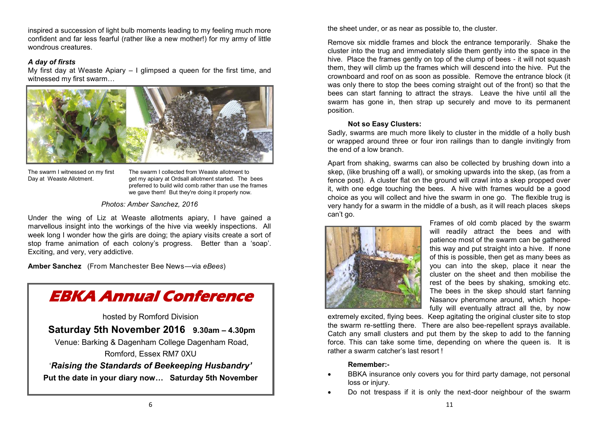inspired a succession of light bulb moments leading to my feeling much more confident and far less fearful (rather like a new mother!) for my army of little wondrous creatures.

#### *A day of firsts*

My first day at Weaste Apiary  $-1$  glimpsed a queen for the first time, and witnessed my first swarm…



The swarm I witnessed on my first The swarm I collected from Weaste allotment to Day at Weaste Allotment. Get my apiary at Ordsall allotment started. The bees preferred to build wild comb rather than use the frames we gave them! But they're doing it properly now.

#### *Photos: Amber Sanchez, 2016*

Under the wing of Liz at Weaste allotments apiary, I have gained a marvellous insight into the workings of the hive via weekly inspections. All week long I wonder how the girls are doing; the apiary visits create a sort of stop frame animation of each colony's progress. Better than a 'soap'. Exciting, and very, very addictive.

**Amber Sanchez** (From Manchester Bee News—via *eBees*)



the sheet under, or as near as possible to, the cluster.

Remove six middle frames and block the entrance temporarily. Shake the cluster into the trug and immediately slide them gently into the space in the hive. Place the frames gently on top of the clump of bees - it will not squash them, they will climb up the frames which will descend into the hive. Put the crownboard and roof on as soon as possible. Remove the entrance block (it was only there to stop the bees coming straight out of the front) so that the bees can start fanning to attract the strays. Leave the hive until all the swarm has gone in, then strap up securely and move to its permanent position.

#### **Not so Easy Clusters:**

Sadly, swarms are much more likely to cluster in the middle of a holly bush or wrapped around three or four iron railings than to dangle invitingly from the end of a low branch.

Apart from shaking, swarms can also be collected by brushing down into a skep, (like brushing off a wall), or smoking upwards into the skep, (as from a fence post). A cluster flat on the ground will crawl into a skep propped over it, with one edge touching the bees. A hive with frames would be a good choice as you will collect and hive the swarm in one go. The flexible trug is very handy for a swarm in the middle of a bush, as it will reach places skeps can't go.



Frames of old comb placed by the swarm will readily attract the bees and with patience most of the swarm can be gathered this way and put straight into a hive. If none of this is possible, then get as many bees as you can into the skep, place it near the cluster on the sheet and then mobilise the rest of the bees by shaking, smoking etc. The bees in the skep should start fanning Nasanov pheromone around, which hopefully will eventually attract all the, by now

extremely excited, flying bees. Keep agitating the original cluster site to stop the swarm re-settling there. There are also bee-repellent sprays available. Catch any small clusters and put them by the skep to add to the fanning force. This can take some time, depending on where the queen is. It is rather a swarm catcher's last resort !

#### **Remember:-**

- BBKA insurance only covers you for third party damage, not personal loss or injury.
- Do not trespass if it is only the next-door neighbour of the swarm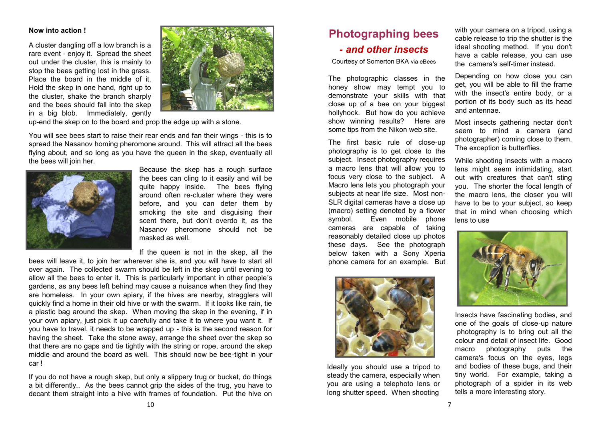#### **Now into action !**

A cluster dangling off a low branch is a rare event - enjoy it. Spread the sheet out under the cluster, this is mainly to stop the bees getting lost in the grass. Place the board in the middle of it. Hold the skep in one hand, right up to the cluster, shake the branch sharply and the bees should fall into the skep in a big blob. Immediately, gently



up-end the skep on to the board and prop the edge up with a stone.

You will see bees start to raise their rear ends and fan their wings - this is to spread the Nasanov homing pheromone around. This will attract all the bees flying about, and so long as you have the queen in the skep, eventually all the bees will join her.



Because the skep has a rough surface the bees can cling to it easily and will be quite happy inside. The bees flying around often re-cluster where they were before, and you can deter them by smoking the site and disguising their scent there, but don't overdo it, as the Nasanov pheromone should not be masked as well.

If the queen is not in the skep, all the

bees will leave it, to join her wherever she is, and you will have to start all over again. The collected swarm should be left in the skep until evening to allow all the bees to enter it. This is particularly important in other people's gardens, as any bees left behind may cause a nuisance when they find they are homeless. In your own apiary, if the hives are nearby, stragglers will quickly find a home in their old hive or with the swarm. If it looks like rain, tie a plastic bag around the skep. When moving the skep in the evening, if in your own apiary, just pick it up carefully and take it to where you want it. If you have to travel, it needs to be wrapped up - this is the second reason for having the sheet. Take the stone away, arrange the sheet over the skep so that there are no gaps and tie tightly with the string or rope, around the skep middle and around the board as well. This should now be bee-tight in your car !

If you do not have a rough skep, but only a slippery trug or bucket, do things a bit differently.. As the bees cannot grip the sides of the trug, you have to decant them straight into a hive with frames of foundation. Put the hive on

### **Photographing bees -** *and other insects*

Courtesy of Somerton BKA via eBees

The photographic classes in the honey show may tempt you to demonstrate your skills with that close up of a bee on your biggest hollyhock. But how do you achieve show winning results? Here are some tips from the Nikon web site.

The first basic rule of close-up photography is to get close to the subject. Insect photography requires a macro lens that will allow you to focus very close to the subject. A Macro lens lets you photograph your subjects at near life size. Most non-SLR digital cameras have a close up (macro) setting denoted by a flower symbol. Even mobile phone cameras are capable of taking reasonably detailed close up photos these days. See the photograph below taken with a Sony Xperia phone camera for an example. But



Ideally you should use a tripod to steady the camera, especially when you are using a telephoto lens or long shutter speed. When shooting

with your camera on a tripod, using a cable release to trip the shutter is the ideal shooting method. If you don't have a cable release, you can use the camera's self-timer instead.

Depending on how close you can get, you will be able to fill the frame with the insect's entire body, or a portion of its body such as its head and antennae.

Most insects gathering nectar don't seem to mind a camera (and photographer) coming close to them. The exception is butterflies.

While shooting insects with a macro lens might seem intimidating, start out with creatures that can't sting you. The shorter the focal length of the macro lens, the closer you will have to be to your subject, so keep that in mind when choosing which lens to use



Insects have fascinating bodies, and one of the goals of close-up nature photography is to bring out all the colour and detail of insect life. Good macro photography puts the camera's focus on the eyes, legs and bodies of these bugs, and their tiny world. For example, taking a photograph of a spider in its web tells a more interesting story.